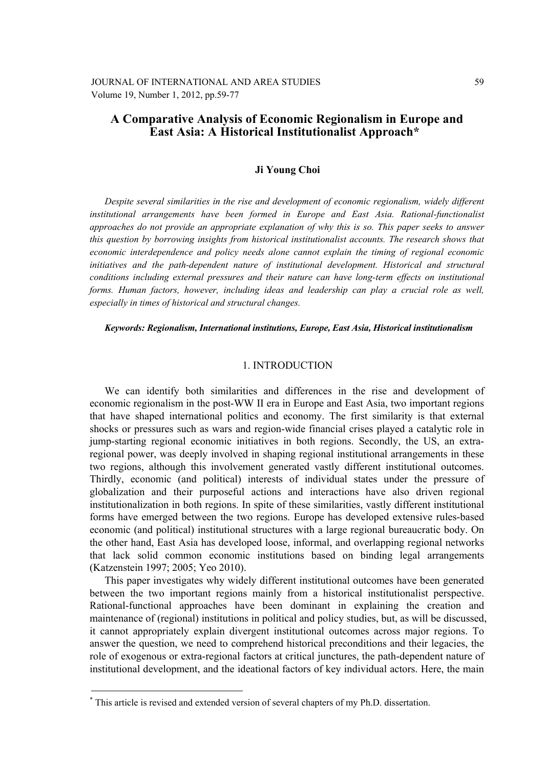# **A Comparative Analysis of Economic Regionalism in Europe and East Asia: A Historical Institutionalist Approach\*\***

### **Ji Young Choi**

*Despite several similarities in the rise and development of economic regionalism, widely different institutional arrangements have been formed in Europe and East Asia. Rational-functionalist approaches do not provide an appropriate explanation of why this is so. This paper seeks to answer this question by borrowing insights from historical institutionalist accounts. The research shows that economic interdependence and policy needs alone cannot explain the timing of regional economic initiatives and the path-dependent nature of institutional development. Historical and structural conditions including external pressures and their nature can have long-term effects on institutional forms. Human factors, however, including ideas and leadership can play a crucial role as well, especially in times of historical and structural changes.* 

#### *Keywords: Regionalism, International institutions, Europe, East Asia, Historical institutionalism*

#### 1. INTRODUCTION

We can identify both similarities and differences in the rise and development of economic regionalism in the post-WW II era in Europe and East Asia, two important regions that have shaped international politics and economy. The first similarity is that external shocks or pressures such as wars and region-wide financial crises played a catalytic role in jump-starting regional economic initiatives in both regions. Secondly, the US, an extraregional power, was deeply involved in shaping regional institutional arrangements in these two regions, although this involvement generated vastly different institutional outcomes. Thirdly, economic (and political) interests of individual states under the pressure of globalization and their purposeful actions and interactions have also driven regional institutionalization in both regions. In spite of these similarities, vastly different institutional forms have emerged between the two regions. Europe has developed extensive rules-based economic (and political) institutional structures with a large regional bureaucratic body. On the other hand, East Asia has developed loose, informal, and overlapping regional networks that lack solid common economic institutions based on binding legal arrangements (Katzenstein 1997; 2005; Yeo 2010).

This paper investigates why widely different institutional outcomes have been generated between the two important regions mainly from a historical institutionalist perspective. Rational-functional approaches have been dominant in explaining the creation and maintenance of (regional) institutions in political and policy studies, but, as will be discussed, it cannot appropriately explain divergent institutional outcomes across major regions. To answer the question, we need to comprehend historical preconditions and their legacies, the role of exogenous or extra-regional factors at critical junctures, the path-dependent nature of institutional development, and the ideational factors of key individual actors. Here, the main

1

<sup>\*</sup> This article is revised and extended version of several chapters of my Ph.D. dissertation.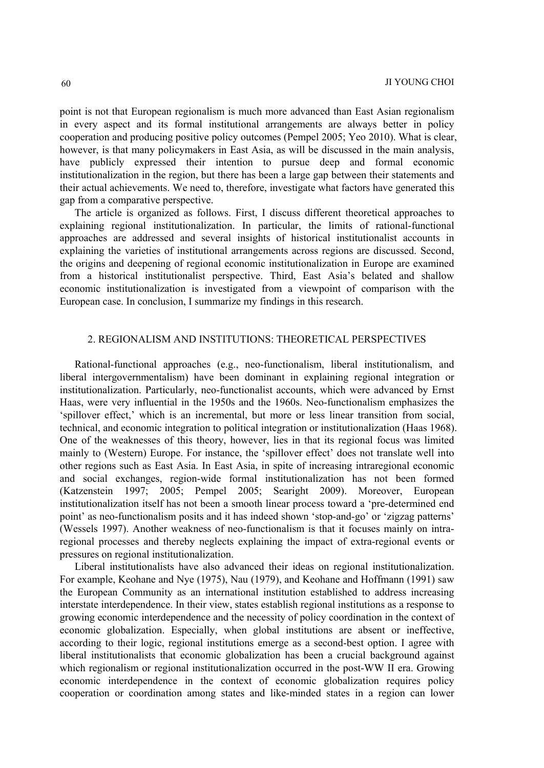point is not that European regionalism is much more advanced than East Asian regionalism in every aspect and its formal institutional arrangements are always better in policy cooperation and producing positive policy outcomes (Pempel 2005; Yeo 2010). What is clear, however, is that many policymakers in East Asia, as will be discussed in the main analysis, have publicly expressed their intention to pursue deep and formal economic institutionalization in the region, but there has been a large gap between their statements and their actual achievements. We need to, therefore, investigate what factors have generated this gap from a comparative perspective.

The article is organized as follows. First, I discuss different theoretical approaches to explaining regional institutionalization. In particular, the limits of rational-functional approaches are addressed and several insights of historical institutionalist accounts in explaining the varieties of institutional arrangements across regions are discussed. Second, the origins and deepening of regional economic institutionalization in Europe are examined from a historical institutionalist perspective. Third, East Asia's belated and shallow economic institutionalization is investigated from a viewpoint of comparison with the European case. In conclusion, I summarize my findings in this research.

# 2. REGIONALISM AND INSTITUTIONS: THEORETICAL PERSPECTIVES

Rational-functional approaches (e.g., neo-functionalism, liberal institutionalism, and liberal intergovernmentalism) have been dominant in explaining regional integration or institutionalization. Particularly, neo-functionalist accounts, which were advanced by Ernst Haas, were very influential in the 1950s and the 1960s. Neo-functionalism emphasizes the 'spillover effect,' which is an incremental, but more or less linear transition from social, technical, and economic integration to political integration or institutionalization (Haas 1968). One of the weaknesses of this theory, however, lies in that its regional focus was limited mainly to (Western) Europe. For instance, the 'spillover effect' does not translate well into other regions such as East Asia. In East Asia, in spite of increasing intraregional economic and social exchanges, region-wide formal institutionalization has not been formed (Katzenstein 1997; 2005; Pempel 2005; Searight 2009). Moreover, European institutionalization itself has not been a smooth linear process toward a 'pre-determined end point' as neo-functionalism posits and it has indeed shown 'stop-and-go' or 'zigzag patterns' (Wessels 1997). Another weakness of neo-functionalism is that it focuses mainly on intraregional processes and thereby neglects explaining the impact of extra-regional events or pressures on regional institutionalization.

Liberal institutionalists have also advanced their ideas on regional institutionalization. For example, Keohane and Nye (1975), Nau (1979), and Keohane and Hoffmann (1991) saw the European Community as an international institution established to address increasing interstate interdependence. In their view, states establish regional institutions as a response to growing economic interdependence and the necessity of policy coordination in the context of economic globalization. Especially, when global institutions are absent or ineffective, according to their logic, regional institutions emerge as a second-best option. I agree with liberal institutionalists that economic globalization has been a crucial background against which regionalism or regional institutionalization occurred in the post-WW II era. Growing economic interdependence in the context of economic globalization requires policy cooperation or coordination among states and like-minded states in a region can lower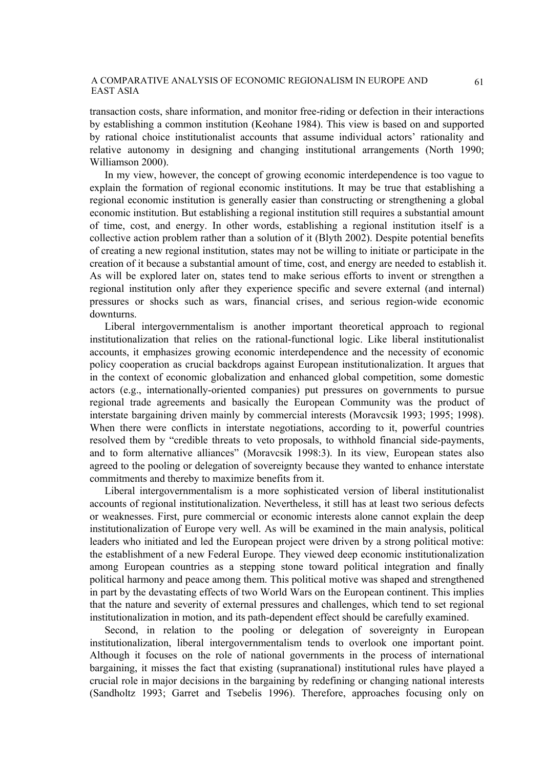transaction costs, share information, and monitor free-riding or defection in their interactions by establishing a common institution (Keohane 1984). This view is based on and supported by rational choice institutionalist accounts that assume individual actors' rationality and relative autonomy in designing and changing institutional arrangements (North 1990; Williamson 2000).

In my view, however, the concept of growing economic interdependence is too vague to explain the formation of regional economic institutions. It may be true that establishing a regional economic institution is generally easier than constructing or strengthening a global economic institution. But establishing a regional institution still requires a substantial amount of time, cost, and energy. In other words, establishing a regional institution itself is a collective action problem rather than a solution of it (Blyth 2002). Despite potential benefits of creating a new regional institution, states may not be willing to initiate or participate in the creation of it because a substantial amount of time, cost, and energy are needed to establish it. As will be explored later on, states tend to make serious efforts to invent or strengthen a regional institution only after they experience specific and severe external (and internal) pressures or shocks such as wars, financial crises, and serious region-wide economic downturns.

Liberal intergovernmentalism is another important theoretical approach to regional institutionalization that relies on the rational-functional logic. Like liberal institutionalist accounts, it emphasizes growing economic interdependence and the necessity of economic policy cooperation as crucial backdrops against European institutionalization. It argues that in the context of economic globalization and enhanced global competition, some domestic actors (e.g., internationally-oriented companies) put pressures on governments to pursue regional trade agreements and basically the European Community was the product of interstate bargaining driven mainly by commercial interests (Moravcsik 1993; 1995; 1998). When there were conflicts in interstate negotiations, according to it, powerful countries resolved them by "credible threats to veto proposals, to withhold financial side-payments, and to form alternative alliances" (Moravcsik 1998:3). In its view, European states also agreed to the pooling or delegation of sovereignty because they wanted to enhance interstate commitments and thereby to maximize benefits from it.

Liberal intergovernmentalism is a more sophisticated version of liberal institutionalist accounts of regional institutionalization. Nevertheless, it still has at least two serious defects or weaknesses. First, pure commercial or economic interests alone cannot explain the deep institutionalization of Europe very well. As will be examined in the main analysis, political leaders who initiated and led the European project were driven by a strong political motive: the establishment of a new Federal Europe. They viewed deep economic institutionalization among European countries as a stepping stone toward political integration and finally political harmony and peace among them. This political motive was shaped and strengthened in part by the devastating effects of two World Wars on the European continent. This implies that the nature and severity of external pressures and challenges, which tend to set regional institutionalization in motion, and its path-dependent effect should be carefully examined.

Second, in relation to the pooling or delegation of sovereignty in European institutionalization, liberal intergovernmentalism tends to overlook one important point. Although it focuses on the role of national governments in the process of international bargaining, it misses the fact that existing (supranational) institutional rules have played a crucial role in major decisions in the bargaining by redefining or changing national interests (Sandholtz 1993; Garret and Tsebelis 1996). Therefore, approaches focusing only on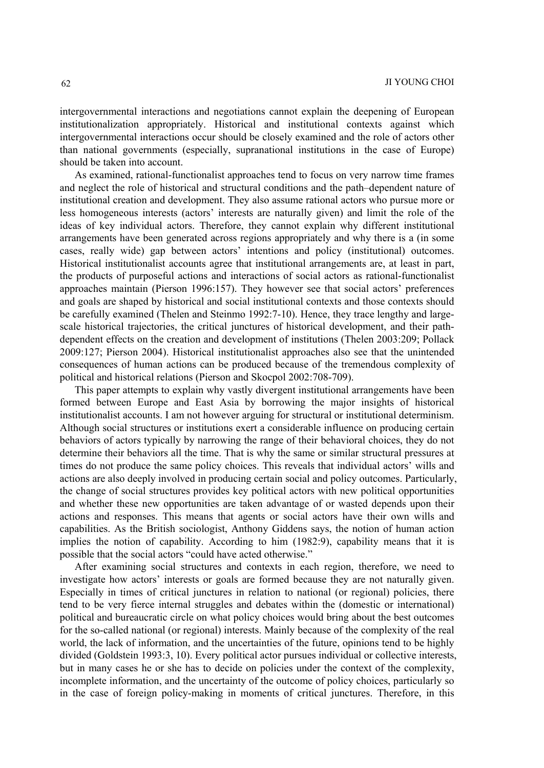intergovernmental interactions and negotiations cannot explain the deepening of European institutionalization appropriately. Historical and institutional contexts against which intergovernmental interactions occur should be closely examined and the role of actors other than national governments (especially, supranational institutions in the case of Europe) should be taken into account.

As examined, rational-functionalist approaches tend to focus on very narrow time frames and neglect the role of historical and structural conditions and the path–dependent nature of institutional creation and development. They also assume rational actors who pursue more or less homogeneous interests (actors' interests are naturally given) and limit the role of the ideas of key individual actors. Therefore, they cannot explain why different institutional arrangements have been generated across regions appropriately and why there is a (in some cases, really wide) gap between actors' intentions and policy (institutional) outcomes. Historical institutionalist accounts agree that institutional arrangements are, at least in part, the products of purposeful actions and interactions of social actors as rational-functionalist approaches maintain (Pierson 1996:157). They however see that social actors' preferences and goals are shaped by historical and social institutional contexts and those contexts should be carefully examined (Thelen and Steinmo 1992:7-10). Hence, they trace lengthy and largescale historical trajectories, the critical junctures of historical development, and their pathdependent effects on the creation and development of institutions (Thelen 2003:209; Pollack 2009:127; Pierson 2004). Historical institutionalist approaches also see that the unintended consequences of human actions can be produced because of the tremendous complexity of political and historical relations (Pierson and Skocpol 2002:708-709).

This paper attempts to explain why vastly divergent institutional arrangements have been formed between Europe and East Asia by borrowing the major insights of historical institutionalist accounts. I am not however arguing for structural or institutional determinism. Although social structures or institutions exert a considerable influence on producing certain behaviors of actors typically by narrowing the range of their behavioral choices, they do not determine their behaviors all the time. That is why the same or similar structural pressures at times do not produce the same policy choices. This reveals that individual actors' wills and actions are also deeply involved in producing certain social and policy outcomes. Particularly, the change of social structures provides key political actors with new political opportunities and whether these new opportunities are taken advantage of or wasted depends upon their actions and responses. This means that agents or social actors have their own wills and capabilities. As the British sociologist, Anthony Giddens says, the notion of human action implies the notion of capability. According to him (1982:9), capability means that it is possible that the social actors "could have acted otherwise."

After examining social structures and contexts in each region, therefore, we need to investigate how actors' interests or goals are formed because they are not naturally given. Especially in times of critical junctures in relation to national (or regional) policies, there tend to be very fierce internal struggles and debates within the (domestic or international) political and bureaucratic circle on what policy choices would bring about the best outcomes for the so-called national (or regional) interests. Mainly because of the complexity of the real world, the lack of information, and the uncertainties of the future, opinions tend to be highly divided (Goldstein 1993:3, 10). Every political actor pursues individual or collective interests, but in many cases he or she has to decide on policies under the context of the complexity, incomplete information, and the uncertainty of the outcome of policy choices, particularly so in the case of foreign policy-making in moments of critical junctures. Therefore, in this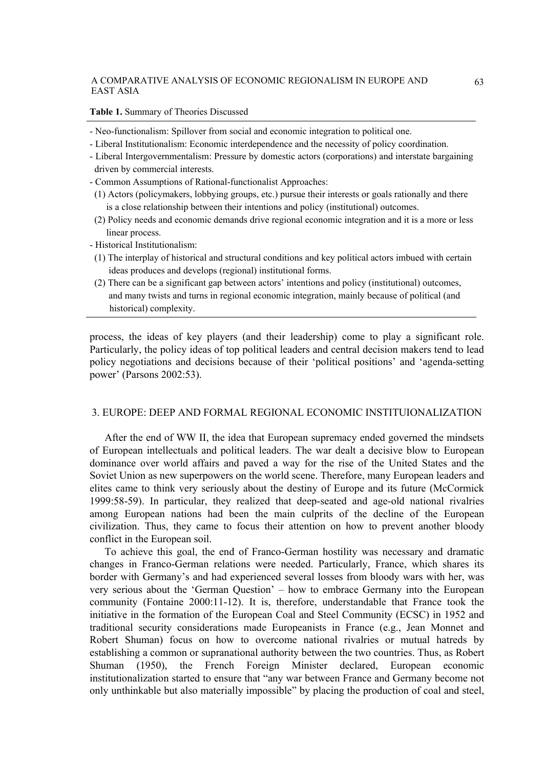#### **Table 1.** Summary of Theories Discussed

- Neo-functionalism: Spillover from social and economic integration to political one.
- Liberal Institutionalism: Economic interdependence and the necessity of policy coordination.
- Liberal Intergovernmentalism: Pressure by domestic actors (corporations) and interstate bargaining driven by commercial interests.
- Common Assumptions of Rational-functionalist Approaches:
- (1) Actors (policymakers, lobbying groups, etc.) pursue their interests or goals rationally and there is a close relationship between their intentions and policy (institutional) outcomes.
- (2) Policy needs and economic demands drive regional economic integration and it is a more or less linear process.
- Historical Institutionalism:
- (1) The interplay of historical and structural conditions and key political actors imbued with certain ideas produces and develops (regional) institutional forms.
- (2) There can be a significant gap between actors' intentions and policy (institutional) outcomes, and many twists and turns in regional economic integration, mainly because of political (and historical) complexity.

process, the ideas of key players (and their leadership) come to play a significant role. Particularly, the policy ideas of top political leaders and central decision makers tend to lead policy negotiations and decisions because of their 'political positions' and 'agenda-setting power' (Parsons 2002:53).

# 3. EUROPE: DEEP AND FORMAL REGIONAL ECONOMIC INSTITUIONALIZATION

After the end of WW II, the idea that European supremacy ended governed the mindsets of European intellectuals and political leaders. The war dealt a decisive blow to European dominance over world affairs and paved a way for the rise of the United States and the Soviet Union as new superpowers on the world scene. Therefore, many European leaders and elites came to think very seriously about the destiny of Europe and its future (McCormick 1999:58-59). In particular, they realized that deep-seated and age-old national rivalries among European nations had been the main culprits of the decline of the European civilization. Thus, they came to focus their attention on how to prevent another bloody conflict in the European soil.

To achieve this goal, the end of Franco-German hostility was necessary and dramatic changes in Franco-German relations were needed. Particularly, France, which shares its border with Germany's and had experienced several losses from bloody wars with her, was very serious about the 'German Question' – how to embrace Germany into the European community (Fontaine 2000:11-12). It is, therefore, understandable that France took the initiative in the formation of the European Coal and Steel Community (ECSC) in 1952 and traditional security considerations made Europeanists in France (e.g., Jean Monnet and Robert Shuman) focus on how to overcome national rivalries or mutual hatreds by establishing a common or supranational authority between the two countries. Thus, as Robert Shuman (1950), the French Foreign Minister declared, European economic institutionalization started to ensure that "any war between France and Germany become not only unthinkable but also materially impossible" by placing the production of coal and steel,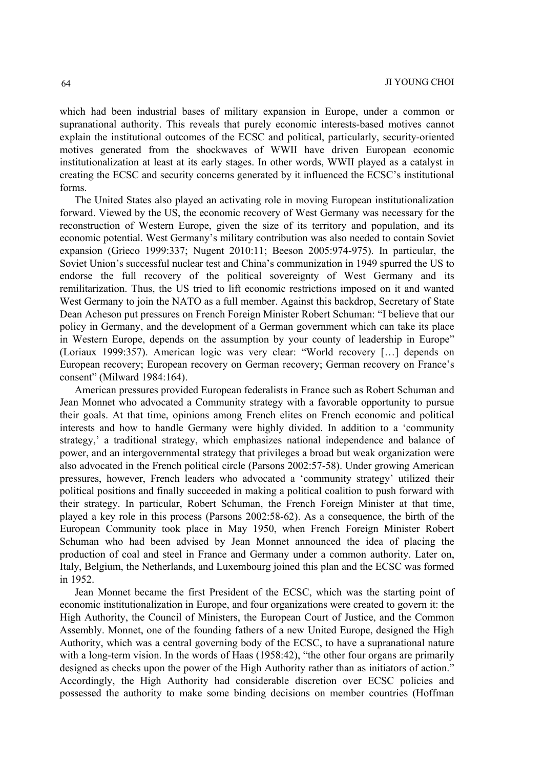which had been industrial bases of military expansion in Europe, under a common or supranational authority. This reveals that purely economic interests-based motives cannot explain the institutional outcomes of the ECSC and political, particularly, security-oriented motives generated from the shockwaves of WWII have driven European economic institutionalization at least at its early stages. In other words, WWII played as a catalyst in creating the ECSC and security concerns generated by it influenced the ECSC's institutional forms.

The United States also played an activating role in moving European institutionalization forward. Viewed by the US, the economic recovery of West Germany was necessary for the reconstruction of Western Europe, given the size of its territory and population, and its economic potential. West Germany's military contribution was also needed to contain Soviet expansion (Grieco 1999:337; Nugent 2010:11; Beeson 2005:974-975). In particular, the Soviet Union's successful nuclear test and China's communization in 1949 spurred the US to endorse the full recovery of the political sovereignty of West Germany and its remilitarization. Thus, the US tried to lift economic restrictions imposed on it and wanted West Germany to join the NATO as a full member. Against this backdrop, Secretary of State Dean Acheson put pressures on French Foreign Minister Robert Schuman: "I believe that our policy in Germany, and the development of a German government which can take its place in Western Europe, depends on the assumption by your county of leadership in Europe" (Loriaux 1999:357). American logic was very clear: "World recovery […] depends on European recovery; European recovery on German recovery; German recovery on France's consent" (Milward 1984:164).

American pressures provided European federalists in France such as Robert Schuman and Jean Monnet who advocated a Community strategy with a favorable opportunity to pursue their goals. At that time, opinions among French elites on French economic and political interests and how to handle Germany were highly divided. In addition to a 'community strategy,' a traditional strategy, which emphasizes national independence and balance of power, and an intergovernmental strategy that privileges a broad but weak organization were also advocated in the French political circle (Parsons 2002:57-58). Under growing American pressures, however, French leaders who advocated a 'community strategy' utilized their political positions and finally succeeded in making a political coalition to push forward with their strategy. In particular, Robert Schuman, the French Foreign Minister at that time, played a key role in this process (Parsons 2002:58-62). As a consequence, the birth of the European Community took place in May 1950, when French Foreign Minister Robert Schuman who had been advised by Jean Monnet announced the idea of placing the production of coal and steel in France and Germany under a common authority. Later on, Italy, Belgium, the Netherlands, and Luxembourg joined this plan and the ECSC was formed in 1952.

Jean Monnet became the first President of the ECSC, which was the starting point of economic institutionalization in Europe, and four organizations were created to govern it: the High Authority, the Council of Ministers, the European Court of Justice, and the Common Assembly. Monnet, one of the founding fathers of a new United Europe, designed the High Authority, which was a central governing body of the ECSC, to have a supranational nature with a long-term vision. In the words of Haas (1958:42), "the other four organs are primarily designed as checks upon the power of the High Authority rather than as initiators of action." Accordingly, the High Authority had considerable discretion over ECSC policies and possessed the authority to make some binding decisions on member countries (Hoffman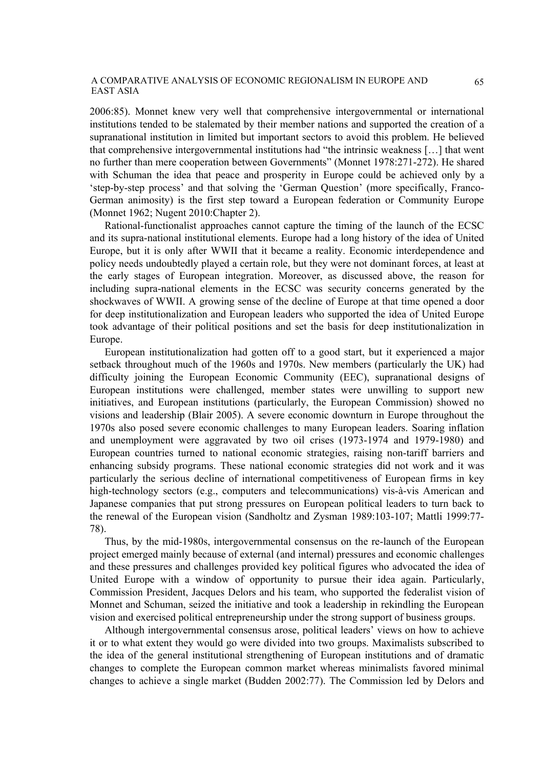2006:85). Monnet knew very well that comprehensive intergovernmental or international institutions tended to be stalemated by their member nations and supported the creation of a supranational institution in limited but important sectors to avoid this problem. He believed that comprehensive intergovernmental institutions had "the intrinsic weakness […] that went no further than mere cooperation between Governments" (Monnet 1978:271-272). He shared with Schuman the idea that peace and prosperity in Europe could be achieved only by a 'step-by-step process' and that solving the 'German Question' (more specifically, Franco-German animosity) is the first step toward a European federation or Community Europe (Monnet 1962; Nugent 2010:Chapter 2).

Rational-functionalist approaches cannot capture the timing of the launch of the ECSC and its supra-national institutional elements. Europe had a long history of the idea of United Europe, but it is only after WWII that it became a reality. Economic interdependence and policy needs undoubtedly played a certain role, but they were not dominant forces, at least at the early stages of European integration. Moreover, as discussed above, the reason for including supra-national elements in the ECSC was security concerns generated by the shockwaves of WWII. A growing sense of the decline of Europe at that time opened a door for deep institutionalization and European leaders who supported the idea of United Europe took advantage of their political positions and set the basis for deep institutionalization in Europe.

European institutionalization had gotten off to a good start, but it experienced a major setback throughout much of the 1960s and 1970s. New members (particularly the UK) had difficulty joining the European Economic Community (EEC), supranational designs of European institutions were challenged, member states were unwilling to support new initiatives, and European institutions (particularly, the European Commission) showed no visions and leadership (Blair 2005). A severe economic downturn in Europe throughout the 1970s also posed severe economic challenges to many European leaders. Soaring inflation and unemployment were aggravated by two oil crises (1973-1974 and 1979-1980) and European countries turned to national economic strategies, raising non-tariff barriers and enhancing subsidy programs. These national economic strategies did not work and it was particularly the serious decline of international competitiveness of European firms in key high-technology sectors (e.g., computers and telecommunications) vis-à-vis American and Japanese companies that put strong pressures on European political leaders to turn back to the renewal of the European vision (Sandholtz and Zysman 1989:103-107; Mattli 1999:77- 78).

Thus, by the mid-1980s, intergovernmental consensus on the re-launch of the European project emerged mainly because of external (and internal) pressures and economic challenges and these pressures and challenges provided key political figures who advocated the idea of United Europe with a window of opportunity to pursue their idea again. Particularly, Commission President, Jacques Delors and his team, who supported the federalist vision of Monnet and Schuman, seized the initiative and took a leadership in rekindling the European vision and exercised political entrepreneurship under the strong support of business groups.

Although intergovernmental consensus arose, political leaders' views on how to achieve it or to what extent they would go were divided into two groups. Maximalists subscribed to the idea of the general institutional strengthening of European institutions and of dramatic changes to complete the European common market whereas minimalists favored minimal changes to achieve a single market (Budden 2002:77). The Commission led by Delors and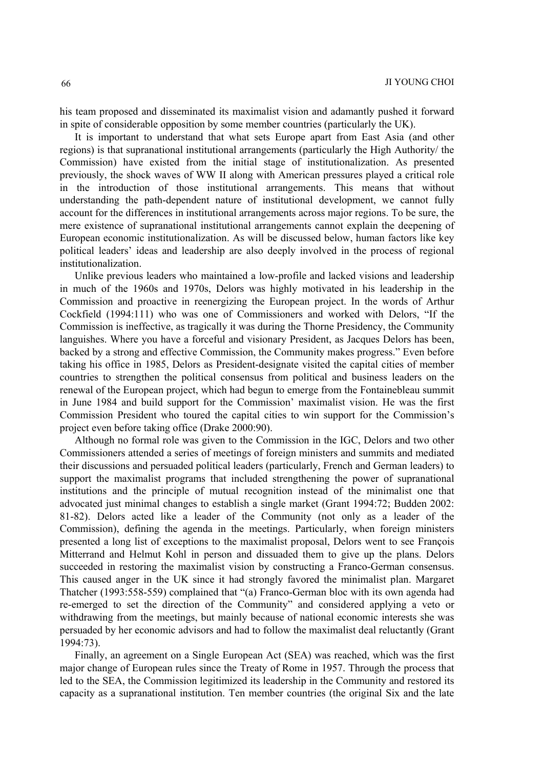his team proposed and disseminated its maximalist vision and adamantly pushed it forward in spite of considerable opposition by some member countries (particularly the UK).

It is important to understand that what sets Europe apart from East Asia (and other regions) is that supranational institutional arrangements (particularly the High Authority/ the Commission) have existed from the initial stage of institutionalization. As presented previously, the shock waves of WW II along with American pressures played a critical role in the introduction of those institutional arrangements. This means that without understanding the path-dependent nature of institutional development, we cannot fully account for the differences in institutional arrangements across major regions. To be sure, the mere existence of supranational institutional arrangements cannot explain the deepening of European economic institutionalization. As will be discussed below, human factors like key political leaders' ideas and leadership are also deeply involved in the process of regional institutionalization.

Unlike previous leaders who maintained a low-profile and lacked visions and leadership in much of the 1960s and 1970s, Delors was highly motivated in his leadership in the Commission and proactive in reenergizing the European project. In the words of Arthur Cockfield (1994:111) who was one of Commissioners and worked with Delors, "If the Commission is ineffective, as tragically it was during the Thorne Presidency, the Community languishes. Where you have a forceful and visionary President, as Jacques Delors has been, backed by a strong and effective Commission, the Community makes progress." Even before taking his office in 1985, Delors as President-designate visited the capital cities of member countries to strengthen the political consensus from political and business leaders on the renewal of the European project, which had begun to emerge from the Fontainebleau summit in June 1984 and build support for the Commission' maximalist vision. He was the first Commission President who toured the capital cities to win support for the Commission's project even before taking office (Drake 2000:90).

Although no formal role was given to the Commission in the IGC, Delors and two other Commissioners attended a series of meetings of foreign ministers and summits and mediated their discussions and persuaded political leaders (particularly, French and German leaders) to support the maximalist programs that included strengthening the power of supranational institutions and the principle of mutual recognition instead of the minimalist one that advocated just minimal changes to establish a single market (Grant 1994:72; Budden 2002: 81-82). Delors acted like a leader of the Community (not only as a leader of the Commission), defining the agenda in the meetings. Particularly, when foreign ministers presented a long list of exceptions to the maximalist proposal, Delors went to see François Mitterrand and Helmut Kohl in person and dissuaded them to give up the plans. Delors succeeded in restoring the maximalist vision by constructing a Franco-German consensus. This caused anger in the UK since it had strongly favored the minimalist plan. Margaret Thatcher (1993:558-559) complained that "(a) Franco-German bloc with its own agenda had re-emerged to set the direction of the Community" and considered applying a veto or withdrawing from the meetings, but mainly because of national economic interests she was persuaded by her economic advisors and had to follow the maximalist deal reluctantly (Grant 1994:73).

Finally, an agreement on a Single European Act (SEA) was reached, which was the first major change of European rules since the Treaty of Rome in 1957. Through the process that led to the SEA, the Commission legitimized its leadership in the Community and restored its capacity as a supranational institution. Ten member countries (the original Six and the late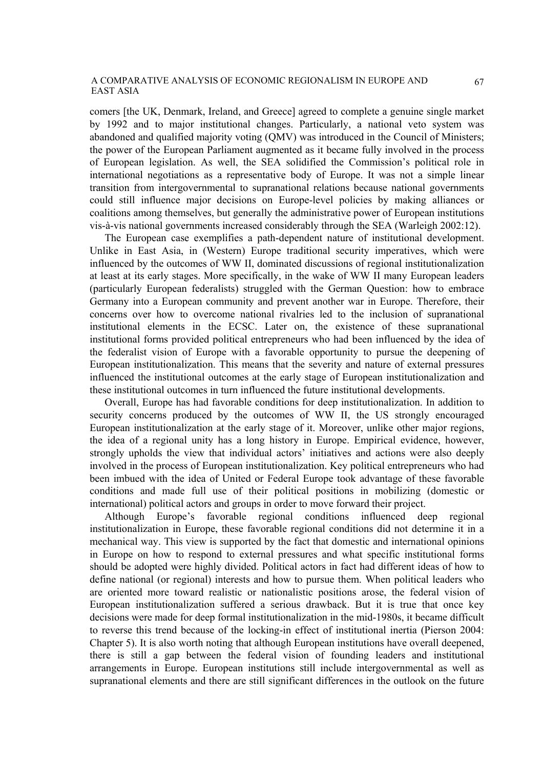comers [the UK, Denmark, Ireland, and Greece] agreed to complete a genuine single market by 1992 and to major institutional changes. Particularly, a national veto system was abandoned and qualified majority voting (QMV) was introduced in the Council of Ministers; the power of the European Parliament augmented as it became fully involved in the process of European legislation. As well, the SEA solidified the Commission's political role in international negotiations as a representative body of Europe. It was not a simple linear transition from intergovernmental to supranational relations because national governments could still influence major decisions on Europe-level policies by making alliances or coalitions among themselves, but generally the administrative power of European institutions vis-à-vis national governments increased considerably through the SEA (Warleigh 2002:12).

The European case exemplifies a path-dependent nature of institutional development. Unlike in East Asia, in (Western) Europe traditional security imperatives, which were influenced by the outcomes of WW II, dominated discussions of regional institutionalization at least at its early stages. More specifically, in the wake of WW II many European leaders (particularly European federalists) struggled with the German Question: how to embrace Germany into a European community and prevent another war in Europe. Therefore, their concerns over how to overcome national rivalries led to the inclusion of supranational institutional elements in the ECSC. Later on, the existence of these supranational institutional forms provided political entrepreneurs who had been influenced by the idea of the federalist vision of Europe with a favorable opportunity to pursue the deepening of European institutionalization. This means that the severity and nature of external pressures influenced the institutional outcomes at the early stage of European institutionalization and these institutional outcomes in turn influenced the future institutional developments.

Overall, Europe has had favorable conditions for deep institutionalization. In addition to security concerns produced by the outcomes of WW II, the US strongly encouraged European institutionalization at the early stage of it. Moreover, unlike other major regions, the idea of a regional unity has a long history in Europe. Empirical evidence, however, strongly upholds the view that individual actors' initiatives and actions were also deeply involved in the process of European institutionalization. Key political entrepreneurs who had been imbued with the idea of United or Federal Europe took advantage of these favorable conditions and made full use of their political positions in mobilizing (domestic or international) political actors and groups in order to move forward their project.

Although Europe's favorable regional conditions influenced deep regional institutionalization in Europe, these favorable regional conditions did not determine it in a mechanical way. This view is supported by the fact that domestic and international opinions in Europe on how to respond to external pressures and what specific institutional forms should be adopted were highly divided. Political actors in fact had different ideas of how to define national (or regional) interests and how to pursue them. When political leaders who are oriented more toward realistic or nationalistic positions arose, the federal vision of European institutionalization suffered a serious drawback. But it is true that once key decisions were made for deep formal institutionalization in the mid-1980s, it became difficult to reverse this trend because of the locking-in effect of institutional inertia (Pierson 2004: Chapter 5). It is also worth noting that although European institutions have overall deepened, there is still a gap between the federal vision of founding leaders and institutional arrangements in Europe. European institutions still include intergovernmental as well as supranational elements and there are still significant differences in the outlook on the future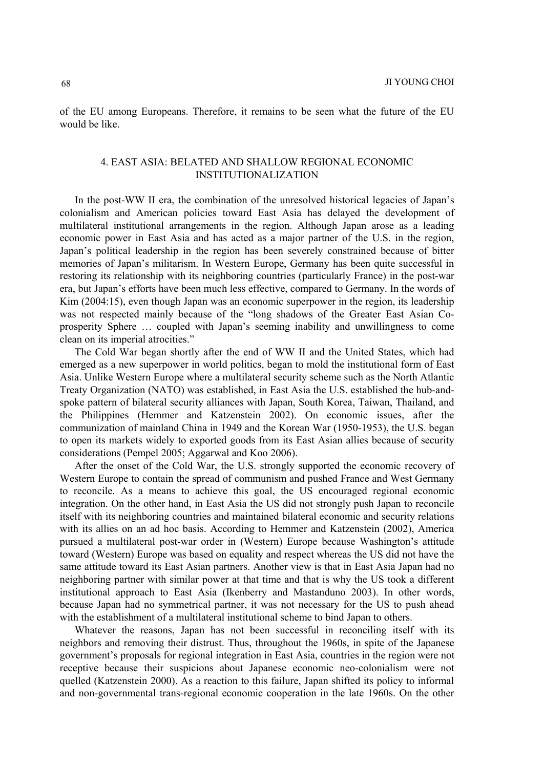of the EU among Europeans. Therefore, it remains to be seen what the future of the EU would be like.

# 4. EAST ASIA: BELATED AND SHALLOW REGIONAL ECONOMIC INSTITUTIONALIZATION

In the post-WW II era, the combination of the unresolved historical legacies of Japan's colonialism and American policies toward East Asia has delayed the development of multilateral institutional arrangements in the region. Although Japan arose as a leading economic power in East Asia and has acted as a major partner of the U.S. in the region, Japan's political leadership in the region has been severely constrained because of bitter memories of Japan's militarism. In Western Europe, Germany has been quite successful in restoring its relationship with its neighboring countries (particularly France) in the post-war era, but Japan's efforts have been much less effective, compared to Germany. In the words of Kim (2004:15), even though Japan was an economic superpower in the region, its leadership was not respected mainly because of the "long shadows of the Greater East Asian Coprosperity Sphere … coupled with Japan's seeming inability and unwillingness to come clean on its imperial atrocities."

The Cold War began shortly after the end of WW II and the United States, which had emerged as a new superpower in world politics, began to mold the institutional form of East Asia. Unlike Western Europe where a multilateral security scheme such as the North Atlantic Treaty Organization (NATO) was established, in East Asia the U.S. established the hub-andspoke pattern of bilateral security alliances with Japan, South Korea, Taiwan, Thailand, and the Philippines (Hemmer and Katzenstein 2002). On economic issues, after the communization of mainland China in 1949 and the Korean War (1950-1953), the U.S. began to open its markets widely to exported goods from its East Asian allies because of security considerations (Pempel 2005; Aggarwal and Koo 2006).

After the onset of the Cold War, the U.S. strongly supported the economic recovery of Western Europe to contain the spread of communism and pushed France and West Germany to reconcile. As a means to achieve this goal, the US encouraged regional economic integration. On the other hand, in East Asia the US did not strongly push Japan to reconcile itself with its neighboring countries and maintained bilateral economic and security relations with its allies on an ad hoc basis. According to Hemmer and Katzenstein (2002), America pursued a multilateral post-war order in (Western) Europe because Washington's attitude toward (Western) Europe was based on equality and respect whereas the US did not have the same attitude toward its East Asian partners. Another view is that in East Asia Japan had no neighboring partner with similar power at that time and that is why the US took a different institutional approach to East Asia (Ikenberry and Mastanduno 2003). In other words, because Japan had no symmetrical partner, it was not necessary for the US to push ahead with the establishment of a multilateral institutional scheme to bind Japan to others.

Whatever the reasons, Japan has not been successful in reconciling itself with its neighbors and removing their distrust. Thus, throughout the 1960s, in spite of the Japanese government's proposals for regional integration in East Asia, countries in the region were not receptive because their suspicions about Japanese economic neo-colonialism were not quelled (Katzenstein 2000). As a reaction to this failure, Japan shifted its policy to informal and non-governmental trans-regional economic cooperation in the late 1960s. On the other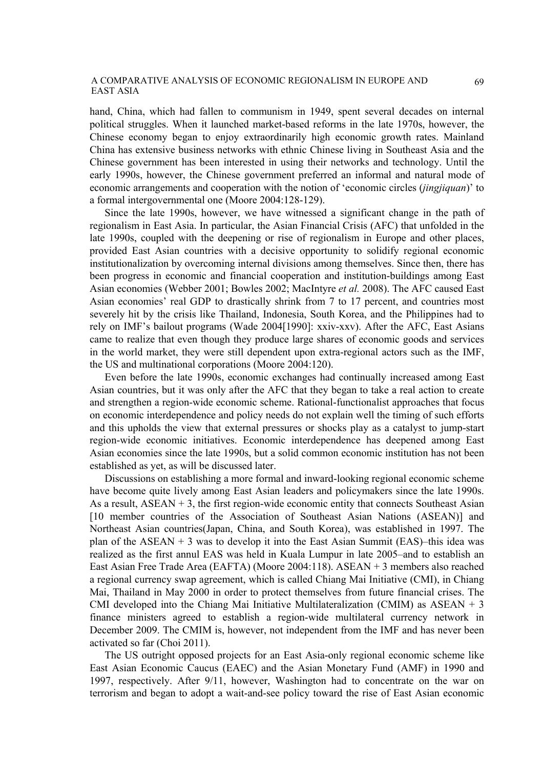hand, China, which had fallen to communism in 1949, spent several decades on internal political struggles. When it launched market-based reforms in the late 1970s, however, the Chinese economy began to enjoy extraordinarily high economic growth rates. Mainland China has extensive business networks with ethnic Chinese living in Southeast Asia and the Chinese government has been interested in using their networks and technology. Until the early 1990s, however, the Chinese government preferred an informal and natural mode of economic arrangements and cooperation with the notion of 'economic circles (*jingjiquan*)' to a formal intergovernmental one (Moore 2004:128-129).

Since the late 1990s, however, we have witnessed a significant change in the path of regionalism in East Asia. In particular, the Asian Financial Crisis (AFC) that unfolded in the late 1990s, coupled with the deepening or rise of regionalism in Europe and other places, provided East Asian countries with a decisive opportunity to solidify regional economic institutionalization by overcoming internal divisions among themselves. Since then, there has been progress in economic and financial cooperation and institution-buildings among East Asian economies (Webber 2001; Bowles 2002; MacIntyre *et al.* 2008). The AFC caused East Asian economies' real GDP to drastically shrink from 7 to 17 percent, and countries most severely hit by the crisis like Thailand, Indonesia, South Korea, and the Philippines had to rely on IMF's bailout programs (Wade 2004[1990]: xxiv-xxv). After the AFC, East Asians came to realize that even though they produce large shares of economic goods and services in the world market, they were still dependent upon extra-regional actors such as the IMF, the US and multinational corporations (Moore 2004:120).

Even before the late 1990s, economic exchanges had continually increased among East Asian countries, but it was only after the AFC that they began to take a real action to create and strengthen a region-wide economic scheme. Rational-functionalist approaches that focus on economic interdependence and policy needs do not explain well the timing of such efforts and this upholds the view that external pressures or shocks play as a catalyst to jump-start region-wide economic initiatives. Economic interdependence has deepened among East Asian economies since the late 1990s, but a solid common economic institution has not been established as yet, as will be discussed later.

Discussions on establishing a more formal and inward-looking regional economic scheme have become quite lively among East Asian leaders and policymakers since the late 1990s. As a result,  $ASEAN + 3$ , the first region-wide economic entity that connects Southeast Asian [10 member countries of the Association of Southeast Asian Nations (ASEAN)] and Northeast Asian countries(Japan, China, and South Korea), was established in 1997. The plan of the ASEAN  $+$  3 was to develop it into the East Asian Summit (EAS)–this idea was realized as the first annul EAS was held in Kuala Lumpur in late 2005–and to establish an East Asian Free Trade Area (EAFTA) (Moore 2004:118). ASEAN + 3 members also reached a regional currency swap agreement, which is called Chiang Mai Initiative (CMI), in Chiang Mai, Thailand in May 2000 in order to protect themselves from future financial crises. The CMI developed into the Chiang Mai Initiative Multilateralization (CMIM) as  $ASEAN + 3$ finance ministers agreed to establish a region-wide multilateral currency network in December 2009. The CMIM is, however, not independent from the IMF and has never been activated so far (Choi 2011).

The US outright opposed projects for an East Asia-only regional economic scheme like East Asian Economic Caucus (EAEC) and the Asian Monetary Fund (AMF) in 1990 and 1997, respectively. After 9/11, however, Washington had to concentrate on the war on terrorism and began to adopt a wait-and-see policy toward the rise of East Asian economic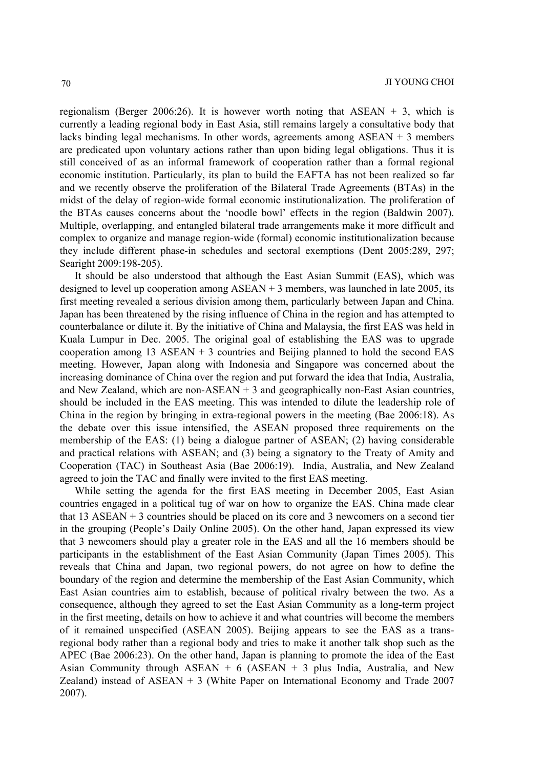regionalism (Berger 2006:26). It is however worth noting that ASEAN  $+$  3, which is currently a leading regional body in East Asia, still remains largely a consultative body that lacks binding legal mechanisms. In other words, agreements among ASEAN + 3 members are predicated upon voluntary actions rather than upon biding legal obligations. Thus it is still conceived of as an informal framework of cooperation rather than a formal regional economic institution. Particularly, its plan to build the EAFTA has not been realized so far and we recently observe the proliferation of the Bilateral Trade Agreements (BTAs) in the midst of the delay of region-wide formal economic institutionalization. The proliferation of the BTAs causes concerns about the 'noodle bowl' effects in the region (Baldwin 2007). Multiple, overlapping, and entangled bilateral trade arrangements make it more difficult and complex to organize and manage region-wide (formal) economic institutionalization because they include different phase-in schedules and sectoral exemptions (Dent 2005:289, 297; Searight 2009:198-205).

It should be also understood that although the East Asian Summit (EAS), which was designed to level up cooperation among  $ASEAN + 3$  members, was launched in late 2005, its first meeting revealed a serious division among them, particularly between Japan and China. Japan has been threatened by the rising influence of China in the region and has attempted to counterbalance or dilute it. By the initiative of China and Malaysia, the first EAS was held in Kuala Lumpur in Dec. 2005. The original goal of establishing the EAS was to upgrade cooperation among  $13$  ASEAN  $+3$  countries and Beijing planned to hold the second EAS meeting. However, Japan along with Indonesia and Singapore was concerned about the increasing dominance of China over the region and put forward the idea that India, Australia, and New Zealand, which are non-ASEAN  $+3$  and geographically non-East Asian countries, should be included in the EAS meeting. This was intended to dilute the leadership role of China in the region by bringing in extra-regional powers in the meeting (Bae 2006:18). As the debate over this issue intensified, the ASEAN proposed three requirements on the membership of the EAS: (1) being a dialogue partner of ASEAN; (2) having considerable and practical relations with ASEAN; and (3) being a signatory to the Treaty of Amity and Cooperation (TAC) in Southeast Asia (Bae 2006:19). India, Australia, and New Zealand agreed to join the TAC and finally were invited to the first EAS meeting.

While setting the agenda for the first EAS meeting in December 2005, East Asian countries engaged in a political tug of war on how to organize the EAS. China made clear that  $13$  ASEAN  $+$  3 countries should be placed on its core and 3 newcomers on a second tier in the grouping (People's Daily Online 2005). On the other hand, Japan expressed its view that 3 newcomers should play a greater role in the EAS and all the 16 members should be participants in the establishment of the East Asian Community (Japan Times 2005). This reveals that China and Japan, two regional powers, do not agree on how to define the boundary of the region and determine the membership of the East Asian Community, which East Asian countries aim to establish, because of political rivalry between the two. As a consequence, although they agreed to set the East Asian Community as a long-term project in the first meeting, details on how to achieve it and what countries will become the members of it remained unspecified (ASEAN 2005). Beijing appears to see the EAS as a transregional body rather than a regional body and tries to make it another talk shop such as the APEC (Bae 2006:23). On the other hand, Japan is planning to promote the idea of the East Asian Community through  $ASEAN + 6$  (ASEAN + 3 plus India, Australia, and New Zealand) instead of ASEAN + 3 (White Paper on International Economy and Trade 2007 2007).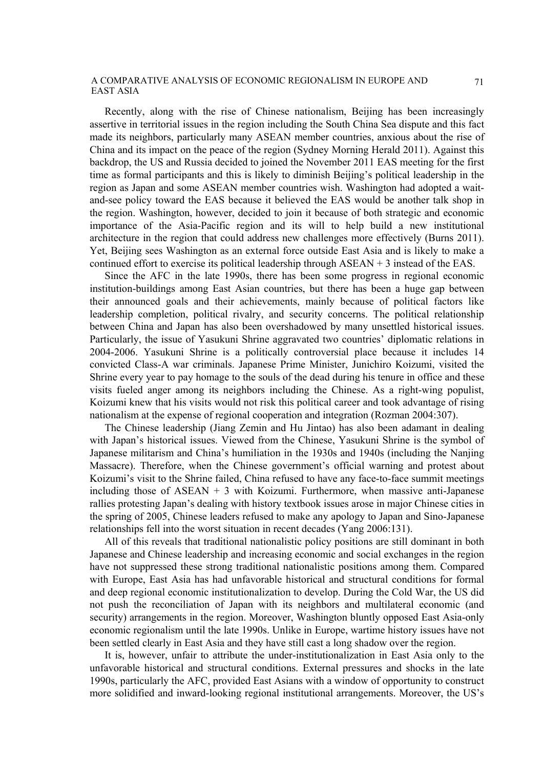Recently, along with the rise of Chinese nationalism, Beijing has been increasingly assertive in territorial issues in the region including the South China Sea dispute and this fact made its neighbors, particularly many ASEAN member countries, anxious about the rise of China and its impact on the peace of the region (Sydney Morning Herald 2011). Against this backdrop, the US and Russia decided to joined the November 2011 EAS meeting for the first time as formal participants and this is likely to diminish Beijing's political leadership in the region as Japan and some ASEAN member countries wish. Washington had adopted a waitand-see policy toward the EAS because it believed the EAS would be another talk shop in the region. Washington, however, decided to join it because of both strategic and economic importance of the Asia-Pacific region and its will to help build a new institutional architecture in the region that could address new challenges more effectively (Burns 2011). Yet, Beijing sees Washington as an external force outside East Asia and is likely to make a continued effort to exercise its political leadership through ASEAN + 3 instead of the EAS.

Since the AFC in the late 1990s, there has been some progress in regional economic institution-buildings among East Asian countries, but there has been a huge gap between their announced goals and their achievements, mainly because of political factors like leadership completion, political rivalry, and security concerns. The political relationship between China and Japan has also been overshadowed by many unsettled historical issues. Particularly, the issue of Yasukuni Shrine aggravated two countries' diplomatic relations in 2004-2006. Yasukuni Shrine is a politically controversial place because it includes 14 convicted Class-A war criminals. Japanese Prime Minister, Junichiro Koizumi, visited the Shrine every year to pay homage to the souls of the dead during his tenure in office and these visits fueled anger among its neighbors including the Chinese. As a right-wing populist, Koizumi knew that his visits would not risk this political career and took advantage of rising nationalism at the expense of regional cooperation and integration (Rozman 2004:307).

The Chinese leadership (Jiang Zemin and Hu Jintao) has also been adamant in dealing with Japan's historical issues. Viewed from the Chinese, Yasukuni Shrine is the symbol of Japanese militarism and China's humiliation in the 1930s and 1940s (including the Nanjing Massacre). Therefore, when the Chinese government's official warning and protest about Koizumi's visit to the Shrine failed, China refused to have any face-to-face summit meetings including those of ASEAN + 3 with Koizumi. Furthermore, when massive anti-Japanese rallies protesting Japan's dealing with history textbook issues arose in major Chinese cities in the spring of 2005, Chinese leaders refused to make any apology to Japan and Sino-Japanese relationships fell into the worst situation in recent decades (Yang 2006:131).

All of this reveals that traditional nationalistic policy positions are still dominant in both Japanese and Chinese leadership and increasing economic and social exchanges in the region have not suppressed these strong traditional nationalistic positions among them. Compared with Europe, East Asia has had unfavorable historical and structural conditions for formal and deep regional economic institutionalization to develop. During the Cold War, the US did not push the reconciliation of Japan with its neighbors and multilateral economic (and security) arrangements in the region. Moreover, Washington bluntly opposed East Asia-only economic regionalism until the late 1990s. Unlike in Europe, wartime history issues have not been settled clearly in East Asia and they have still cast a long shadow over the region.

It is, however, unfair to attribute the under-institutionalization in East Asia only to the unfavorable historical and structural conditions. External pressures and shocks in the late 1990s, particularly the AFC, provided East Asians with a window of opportunity to construct more solidified and inward-looking regional institutional arrangements. Moreover, the US's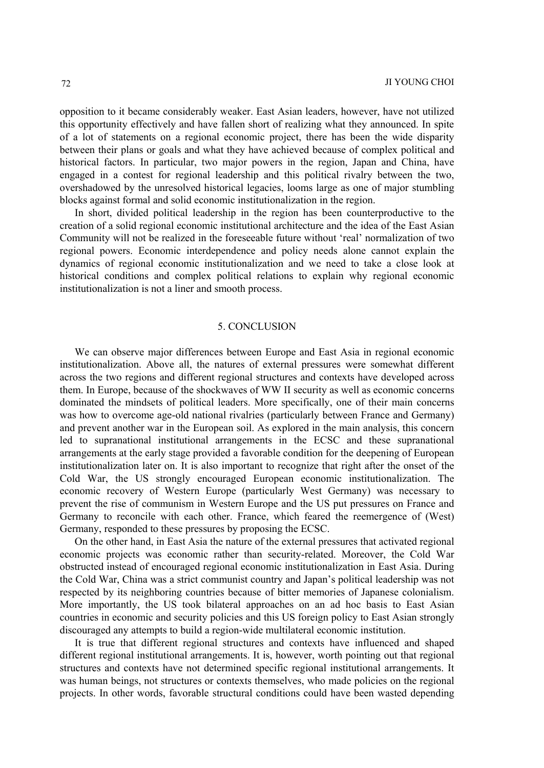opposition to it became considerably weaker. East Asian leaders, however, have not utilized this opportunity effectively and have fallen short of realizing what they announced. In spite of a lot of statements on a regional economic project, there has been the wide disparity between their plans or goals and what they have achieved because of complex political and historical factors. In particular, two major powers in the region, Japan and China, have engaged in a contest for regional leadership and this political rivalry between the two, overshadowed by the unresolved historical legacies, looms large as one of major stumbling blocks against formal and solid economic institutionalization in the region.

In short, divided political leadership in the region has been counterproductive to the creation of a solid regional economic institutional architecture and the idea of the East Asian Community will not be realized in the foreseeable future without 'real' normalization of two regional powers. Economic interdependence and policy needs alone cannot explain the dynamics of regional economic institutionalization and we need to take a close look at historical conditions and complex political relations to explain why regional economic institutionalization is not a liner and smooth process.

## 5. CONCLUSION

We can observe major differences between Europe and East Asia in regional economic institutionalization. Above all, the natures of external pressures were somewhat different across the two regions and different regional structures and contexts have developed across them. In Europe, because of the shockwaves of WW II security as well as economic concerns dominated the mindsets of political leaders. More specifically, one of their main concerns was how to overcome age-old national rivalries (particularly between France and Germany) and prevent another war in the European soil. As explored in the main analysis, this concern led to supranational institutional arrangements in the ECSC and these supranational arrangements at the early stage provided a favorable condition for the deepening of European institutionalization later on. It is also important to recognize that right after the onset of the Cold War, the US strongly encouraged European economic institutionalization. The economic recovery of Western Europe (particularly West Germany) was necessary to prevent the rise of communism in Western Europe and the US put pressures on France and Germany to reconcile with each other. France, which feared the reemergence of (West) Germany, responded to these pressures by proposing the ECSC.

On the other hand, in East Asia the nature of the external pressures that activated regional economic projects was economic rather than security-related. Moreover, the Cold War obstructed instead of encouraged regional economic institutionalization in East Asia. During the Cold War, China was a strict communist country and Japan's political leadership was not respected by its neighboring countries because of bitter memories of Japanese colonialism. More importantly, the US took bilateral approaches on an ad hoc basis to East Asian countries in economic and security policies and this US foreign policy to East Asian strongly discouraged any attempts to build a region-wide multilateral economic institution.

It is true that different regional structures and contexts have influenced and shaped different regional institutional arrangements. It is, however, worth pointing out that regional structures and contexts have not determined specific regional institutional arrangements. It was human beings, not structures or contexts themselves, who made policies on the regional projects. In other words, favorable structural conditions could have been wasted depending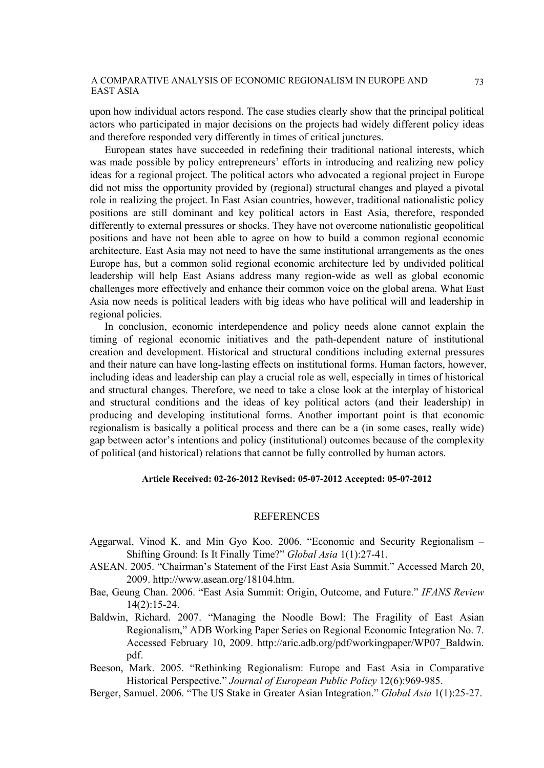upon how individual actors respond. The case studies clearly show that the principal political actors who participated in major decisions on the projects had widely different policy ideas and therefore responded very differently in times of critical junctures.

European states have succeeded in redefining their traditional national interests, which was made possible by policy entrepreneurs' efforts in introducing and realizing new policy ideas for a regional project. The political actors who advocated a regional project in Europe did not miss the opportunity provided by (regional) structural changes and played a pivotal role in realizing the project. In East Asian countries, however, traditional nationalistic policy positions are still dominant and key political actors in East Asia, therefore, responded differently to external pressures or shocks. They have not overcome nationalistic geopolitical positions and have not been able to agree on how to build a common regional economic architecture. East Asia may not need to have the same institutional arrangements as the ones Europe has, but a common solid regional economic architecture led by undivided political leadership will help East Asians address many region-wide as well as global economic challenges more effectively and enhance their common voice on the global arena. What East Asia now needs is political leaders with big ideas who have political will and leadership in regional policies.

In conclusion, economic interdependence and policy needs alone cannot explain the timing of regional economic initiatives and the path-dependent nature of institutional creation and development. Historical and structural conditions including external pressures and their nature can have long-lasting effects on institutional forms. Human factors, however, including ideas and leadership can play a crucial role as well, especially in times of historical and structural changes. Therefore, we need to take a close look at the interplay of historical and structural conditions and the ideas of key political actors (and their leadership) in producing and developing institutional forms. Another important point is that economic regionalism is basically a political process and there can be a (in some cases, really wide) gap between actor's intentions and policy (institutional) outcomes because of the complexity of political (and historical) relations that cannot be fully controlled by human actors.

#### **Article Received: 02-26-2012 Revised: 05-07-2012 Accepted: 05-07-2012**

#### REFERENCES

- Aggarwal, Vinod K. and Min Gyo Koo. 2006. "Economic and Security Regionalism Shifting Ground: Is It Finally Time?" *Global Asia* 1(1):27-41.
- ASEAN. 2005. "Chairman's Statement of the First East Asia Summit." Accessed March 20, 2009. http://www.asean.org/18104.htm.
- Bae, Geung Chan. 2006. "East Asia Summit: Origin, Outcome, and Future." *IFANS Review* 14(2):15-24.
- Baldwin, Richard. 2007. "Managing the Noodle Bowl: The Fragility of East Asian Regionalism," ADB Working Paper Series on Regional Economic Integration No. 7. Accessed February 10, 2009. http://aric.adb.org/pdf/workingpaper/WP07\_Baldwin. pdf.
- Beeson, Mark. 2005. "Rethinking Regionalism: Europe and East Asia in Comparative Historical Perspective." *Journal of European Public Policy* 12(6):969-985.
- Berger, Samuel. 2006. "The US Stake in Greater Asian Integration." *Global Asia* 1(1):25-27.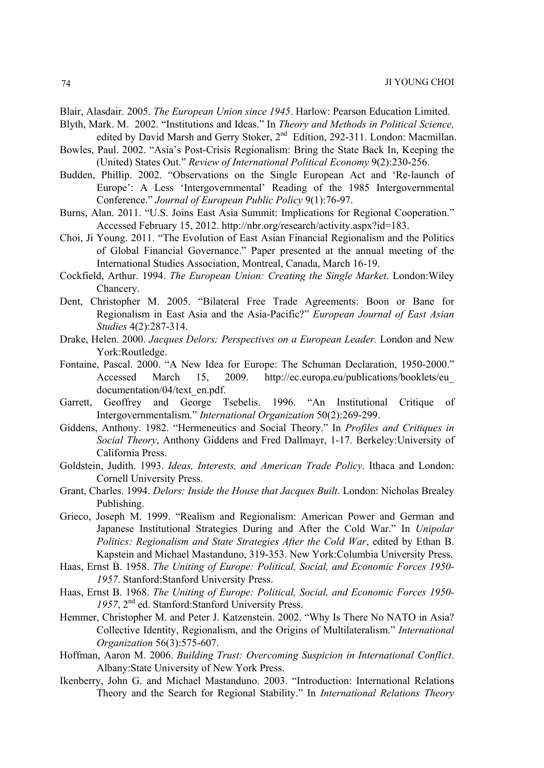Blair, Alasdair. 2005. *The European Union since 1945*. Harlow: Pearson Education Limited.

- Blyth, Mark. M. 2002. "Institutions and Ideas." In *Theory and Methods in Political Science,*  edited by David Marsh and Gerry Stoker, 2<sup>nd</sup> Edition, 292-311. London: Macmillan.
- Bowles, Paul. 2002. "Asia's Post-Crisis Regionalism: Bring the State Back In, Keeping the (United) States Out." *Review of International Political Economy* 9(2):230-256.
- Budden, Phillip. 2002. "Observations on the Single European Act and 'Re-launch of Europe': A Less 'Intergovernmental' Reading of the 1985 Intergovernmental Conference." *Journal of European Public Policy* 9(1):76-97.
- Burns, Alan. 2011. "U.S. Joins East Asia Summit: Implications for Regional Cooperation." Accessed February 15, 2012. http://nbr.org/research/activity.aspx?id=183.
- Choi, Ji Young. 2011. "The Evolution of East Asian Financial Regionalism and the Politics of Global Financial Governance." Paper presented at the annual meeting of the International Studies Association, Montreal, Canada, March 16-19.
- Cockfield, Arthur. 1994. *The European Union: Creating the Single Market*. London:Wiley Chancery.
- Dent, Christopher M. 2005. "Bilateral Free Trade Agreements: Boon or Bane for Regionalism in East Asia and the Asia-Pacific?" *European Journal of East Asian Studies* 4(2):287-314.
- Drake, Helen. 2000. *Jacques Delors: Perspectives on a European Leader.* London and New York:Routledge.
- Fontaine, Pascal. 2000. "A New Idea for Europe: The Schuman Declaration, 1950-2000." Accessed March 15, 2009. http://ec.europa.eu/publications/booklets/eu\_ documentation/04/text\_en.pdf.
- Garrett, Geoffrey and George Tsebelis. 1996. "An Institutional Critique of Intergovernmentalism." *International Organization* 50(2):269-299.
- Giddens, Anthony. 1982. "Hermeneutics and Social Theory." In *Profiles and Critiques in Social Theory*, Anthony Giddens and Fred Dallmayr, 1-17. Berkeley:University of California Press.
- Goldstein, Judith. 1993. *Ideas, Interests, and American Trade Policy*. Ithaca and London: Cornell University Press.
- Grant, Charles. 1994. *Delors: Inside the House that Jacques Built*. London: Nicholas Brealey Publishing.
- Grieco, Joseph M. 1999. "Realism and Regionalism: American Power and German and Japanese Institutional Strategies During and After the Cold War." In *Unipolar Politics: Regionalism and State Strategies After the Cold War*, edited by Ethan B. Kapstein and Michael Mastanduno, 319-353. New York:Columbia University Press.
- Haas, Ernst B. 1958. *The Uniting of Europe: Political, Social, and Economic Forces 1950- 1957*. Stanford:Stanford University Press.
- Haas, Ernst B. 1968. *The Uniting of Europe: Political, Social, and Economic Forces 1950- 1957*, 2nd ed. Stanford:Stanford University Press.
- Hemmer, Christopher M. and Peter J. Katzenstein. 2002. "Why Is There No NATO in Asia? Collective Identity, Regionalism, and the Origins of Multilateralism." *International Organization* 56(3):575-607.
- Hoffman, Aaron M. 2006. *Building Trust: Overcoming Suspicion in International Conflict*. Albany:State University of New York Press.
- Ikenberry, John G. and Michael Mastanduno. 2003. "Introduction: International Relations Theory and the Search for Regional Stability." In *International Relations Theory*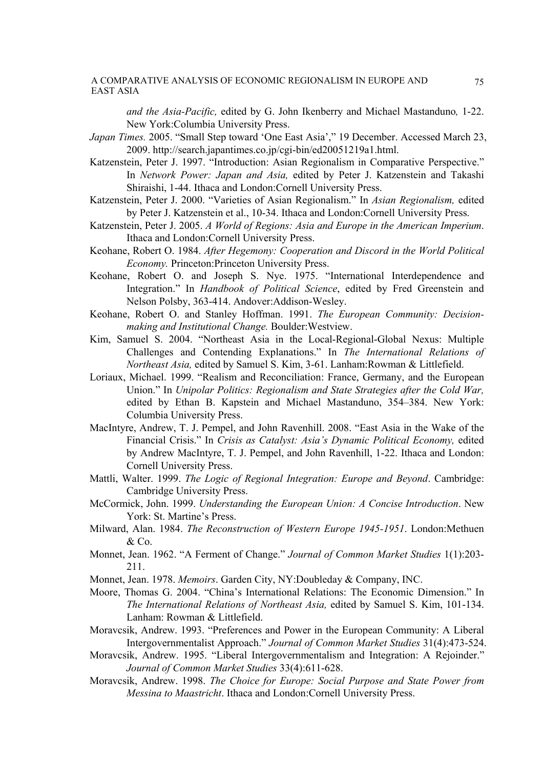*and the Asia-Pacific,* edited by G. John Ikenberry and Michael Mastanduno*,* 1-22. New York:Columbia University Press.

- *Japan Times.* 2005. "Small Step toward 'One East Asia'," 19 December. Accessed March 23, 2009. http://search.japantimes.co.jp/cgi-bin/ed20051219a1.html.
- Katzenstein, Peter J. 1997. "Introduction: Asian Regionalism in Comparative Perspective." In *Network Power: Japan and Asia,* edited by Peter J. Katzenstein and Takashi Shiraishi, 1-44. Ithaca and London:Cornell University Press.
- Katzenstein, Peter J. 2000. "Varieties of Asian Regionalism." In *Asian Regionalism,* edited by Peter J. Katzenstein et al., 10-34. Ithaca and London:Cornell University Press.
- Katzenstein, Peter J. 2005. *A World of Regions: Asia and Europe in the American Imperium*. Ithaca and London:Cornell University Press.
- Keohane, Robert O. 1984. *After Hegemony: Cooperation and Discord in the World Political Economy.* Princeton:Princeton University Press.
- Keohane, Robert O. and Joseph S. Nye. 1975. "International Interdependence and Integration." In *Handbook of Political Science*, edited by Fred Greenstein and Nelson Polsby, 363-414. Andover:Addison-Wesley.
- Keohane, Robert O. and Stanley Hoffman. 1991. *The European Community: Decisionmaking and Institutional Change.* Boulder:Westview.
- Kim, Samuel S. 2004. "Northeast Asia in the Local-Regional-Global Nexus: Multiple Challenges and Contending Explanations." In *The International Relations of Northeast Asia,* edited by Samuel S. Kim, 3-61. Lanham:Rowman & Littlefield.
- Loriaux, Michael. 1999. "Realism and Reconciliation: France, Germany, and the European Union." In *Unipolar Politics: Regionalism and State Strategies after the Cold War,*  edited by Ethan B. Kapstein and Michael Mastanduno, 354–384. New York: Columbia University Press.
- MacIntyre, Andrew, T. J. Pempel, and John Ravenhill. 2008. "East Asia in the Wake of the Financial Crisis." In *Crisis as Catalyst: Asia's Dynamic Political Economy,* edited by Andrew MacIntyre, T. J. Pempel, and John Ravenhill, 1-22. Ithaca and London: Cornell University Press.
- Mattli, Walter. 1999. *The Logic of Regional Integration: Europe and Beyond*. Cambridge: Cambridge University Press.
- McCormick, John. 1999. *Understanding the European Union: A Concise Introduction*. New York: St. Martine's Press.
- Milward, Alan. 1984. *The Reconstruction of Western Europe 1945-1951*. London:Methuen & Co.
- Monnet, Jean. 1962. "A Ferment of Change." *Journal of Common Market Studies* 1(1):203- 211.
- Monnet, Jean. 1978. *Memoirs*. Garden City, NY:Doubleday & Company, INC.
- Moore, Thomas G. 2004. "China's International Relations: The Economic Dimension." In *The International Relations of Northeast Asia,* edited by Samuel S. Kim, 101-134. Lanham: Rowman & Littlefield.
- Moravcsik, Andrew. 1993. "Preferences and Power in the European Community: A Liberal Intergovernmentalist Approach." *Journal of Common Market Studies* 31(4):473-524.
- Moravcsik, Andrew. 1995. "Liberal Intergovernmentalism and Integration: A Rejoinder." *Journal of Common Market Studies* 33(4):611-628.
- Moravcsik, Andrew. 1998. *The Choice for Europe: Social Purpose and State Power from Messina to Maastricht*. Ithaca and London:Cornell University Press.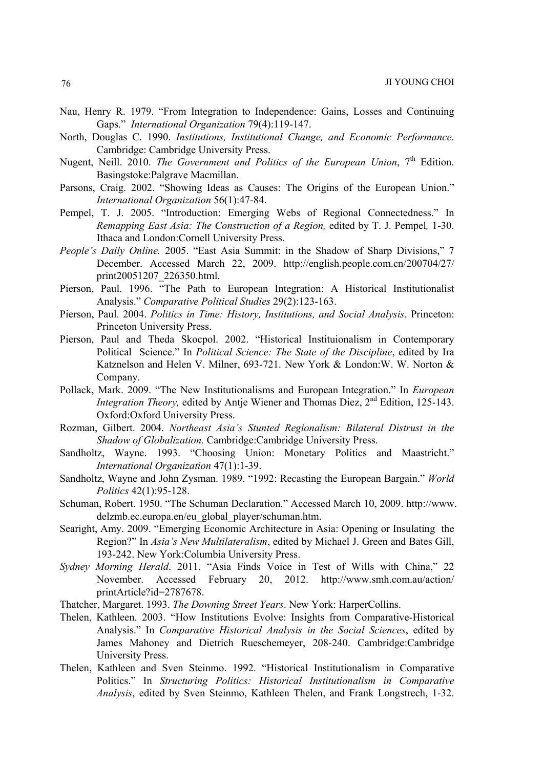- Nau, Henry R. 1979. "From Integration to Independence: Gains, Losses and Continuing Gaps." *International Organization* 79(4):119-147.
- North, Douglas C. 1990. *Institutions, Institutional Change, and Economic Performance*. Cambridge: Cambridge University Press.
- Nugent, Neill. 2010. *The Government and Politics of the European Union*, 7<sup>th</sup> Edition. Basingstoke:Palgrave Macmillan.
- Parsons, Craig. 2002. "Showing Ideas as Causes: The Origins of the European Union." *International Organization* 56(1):47-84.
- Pempel, T. J. 2005. "Introduction: Emerging Webs of Regional Connectedness." In *Remapping East Asia: The Construction of a Region,* edited by T. J. Pempel*,* 1-30. Ithaca and London:Cornell University Press.
- *People's Daily Online.* 2005. "East Asia Summit: in the Shadow of Sharp Divisions," 7 December. Accessed March 22, 2009. http://english.people.com.cn/200704/27/ print20051207\_226350.html.
- Pierson, Paul. 1996. "The Path to European Integration: A Historical Institutionalist Analysis." *Comparative Political Studies* 29(2):123-163.
- Pierson, Paul. 2004. *Politics in Time: History, Institutions, and Social Analysis*. Princeton: Princeton University Press.
- Pierson, Paul and Theda Skocpol. 2002. "Historical Instituionalism in Contemporary Political Science." In *Political Science: The State of the Discipline*, edited by Ira Katznelson and Helen V. Milner, 693-721. New York & London:W. W. Norton & Company.
- Pollack, Mark. 2009. "The New Institutionalisms and European Integration." In *European Integration Theory,* edited by Antje Wiener and Thomas Diez, 2nd Edition, 125-143. Oxford:Oxford University Press.
- Rozman, Gilbert. 2004. *Northeast Asia's Stunted Regionalism: Bilateral Distrust in the Shadow of Globalization.* Cambridge:Cambridge University Press.
- Sandholtz, Wayne. 1993. "Choosing Union: Monetary Politics and Maastricht." *International Organization* 47(1):1-39.
- Sandholtz, Wayne and John Zysman. 1989. "1992: Recasting the European Bargain." *World Politics* 42(1):95-128.
- Schuman, Robert. 1950. "The Schuman Declaration." Accessed March 10, 2009. http://www. delzmb.ec.europa.en/eu\_global\_player/schuman.htm.
- Searight, Amy. 2009. "Emerging Economic Architecture in Asia: Opening or Insulating the Region?" In *Asia's New Multilateralism*, edited by Michael J. Green and Bates Gill, 193-242. New York:Columbia University Press.
- *Sydney Morning Herald*. 2011. "Asia Finds Voice in Test of Wills with China," 22 November. Accessed February 20, 2012. http://www.smh.com.au/action/ printArticle?id=2787678.
- Thatcher, Margaret. 1993. *The Downing Street Years*. New York: HarperCollins.
- Thelen, Kathleen. 2003. "How Institutions Evolve: Insights from Comparative-Historical Analysis." In *Comparative Historical Analysis in the Social Sciences*, edited by James Mahoney and Dietrich Rueschemeyer, 208-240. Cambridge:Cambridge University Press.
- Thelen, Kathleen and Sven Steinmo. 1992. "Historical Institutionalism in Comparative Politics." In *Structuring Politics: Historical Institutionalism in Comparative Analysis*, edited by Sven Steinmo, Kathleen Thelen, and Frank Longstrech, 1-32.